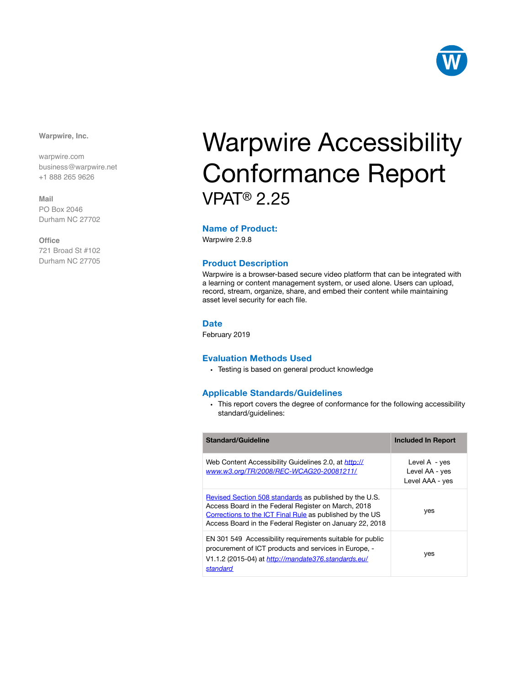

**Warpwire, Inc.**

warpwire.com business@warpwire.net +1 888 265 9626

**Mail** PO Box 2046 Durham NC 27702

**Office**

721 Broad St #102 Durham NC 27705

# Warpwire Accessibility Conformance Report VPAT® 2.25

#### **Name of Product:**

Warpwire 2.9.8

#### **Product Description**

Warpwire is a browser-based secure video platform that can be integrated with a learning or content management system, or used alone. Users can upload, record, stream, organize, share, and embed their content while maintaining asset level security for each file.

#### **Date**

February 2019

#### **Evaluation Methods Used**

• Testing is based on general product knowledge

#### **Applicable Standards/Guidelines**

• This report covers the degree of conformance for the following accessibility standard/guidelines:

| <b>Standard/Guideline</b>                                                                                                                                                                                                             | <b>Included In Report</b>                            |
|---------------------------------------------------------------------------------------------------------------------------------------------------------------------------------------------------------------------------------------|------------------------------------------------------|
| Web Content Accessibility Guidelines 2.0, at <i>http://</i><br>www.w3.org/TR/2008/REC-WCAG20-20081211/                                                                                                                                | Level $A - yes$<br>Level AA - yes<br>Level AAA - yes |
| Revised Section 508 standards as published by the U.S.<br>Access Board in the Federal Register on March, 2018<br>Corrections to the ICT Final Rule as published by the US<br>Access Board in the Federal Register on January 22, 2018 | yes                                                  |
| EN 301 549 Accessibility requirements suitable for public<br>procurement of ICT products and services in Europe, -<br>V1.1.2 (2015-04) at http://mandate376.standards.eu/<br>standard                                                 | yes                                                  |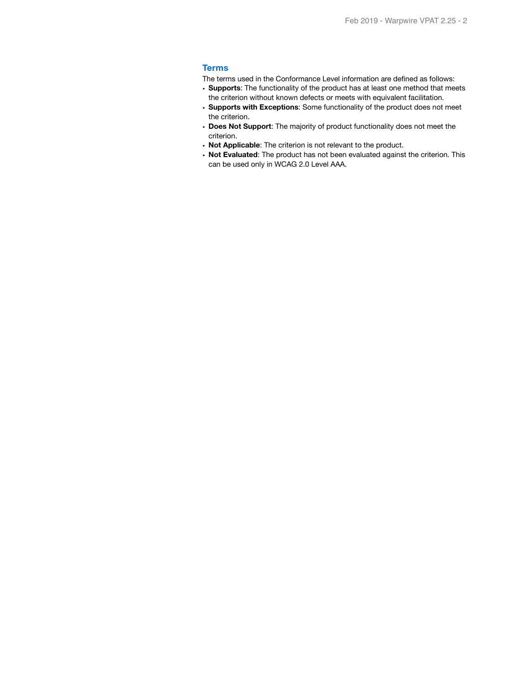#### **Terms**

The terms used in the Conformance Level information are defined as follows:

- **Supports**: The functionality of the product has at least one method that meets the criterion without known defects or meets with equivalent facilitation.
- **Supports with Exceptions**: Some functionality of the product does not meet the criterion.
- **Does Not Support**: The majority of product functionality does not meet the criterion.
- **Not Applicable**: The criterion is not relevant to the product.
- **Not Evaluated**: The product has not been evaluated against the criterion. This can be used only in WCAG 2.0 Level AAA.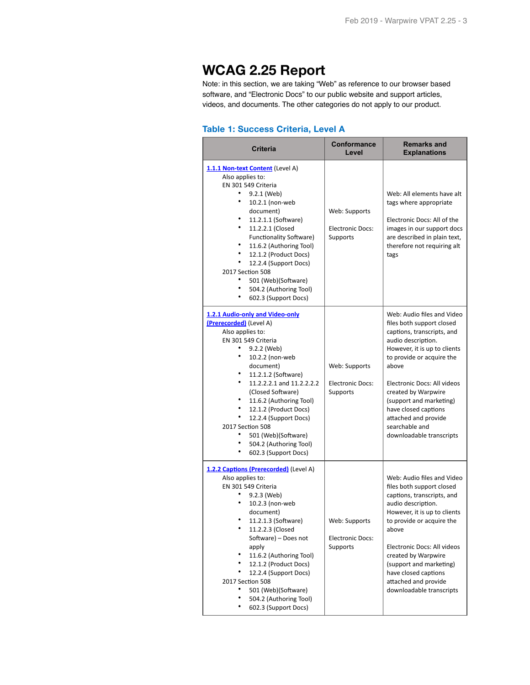# **WCAG 2.25 Report**

Note: in this section, we are taking "Web" as reference to our browser based software, and "Electronic Docs" to our public website and support articles, videos, and documents. The other categories do not apply to our product.

#### **Table 1: Success Criteria, Level A**

| <b>Criteria</b>                                                                                                                                                                                                                                                                                                                                                                                                                            | <b>Conformance</b><br>Level                          | <b>Remarks and</b><br><b>Explanations</b>                                                                                                                                                                                                                                                                                                                        |
|--------------------------------------------------------------------------------------------------------------------------------------------------------------------------------------------------------------------------------------------------------------------------------------------------------------------------------------------------------------------------------------------------------------------------------------------|------------------------------------------------------|------------------------------------------------------------------------------------------------------------------------------------------------------------------------------------------------------------------------------------------------------------------------------------------------------------------------------------------------------------------|
| 1.1.1 Non-text Content (Level A)<br>Also applies to:<br>EN 301 549 Criteria<br>٠<br>9.2.1 (Web)<br>٠<br>10.2.1 (non-web<br>document)<br>11.2.1.1 (Software)<br>٠<br>11.2.2.1 (Closed<br><b>Functionality Software)</b><br>٠<br>11.6.2 (Authoring Tool)<br>12.1.2 (Product Docs)<br>12.2.4 (Support Docs)<br>2017 Section 508<br>٠<br>501 (Web)(Software)<br>504.2 (Authoring Tool)<br>٠<br>602.3 (Support Docs)                            | Web: Supports<br><b>Electronic Docs:</b><br>Supports | Web: All elements have alt<br>tags where appropriate<br>Electronic Docs: All of the<br>images in our support docs<br>are described in plain text,<br>therefore not requiring alt<br>tags                                                                                                                                                                         |
| 1.2.1 Audio-only and Video-only<br>(Prerecorded) (Level A)<br>Also applies to:<br>EN 301 549 Criteria<br>٠<br>9.2.2 (Web)<br>٠<br>10.2.2 (non-web<br>document)<br>11.2.1.2 (Software)<br>٠<br>11.2.2.2.1 and 11.2.2.2.2<br>(Closed Software)<br>11.6.2 (Authoring Tool)<br>٠<br>12.1.2 (Product Docs)<br>٠<br>12.2.4 (Support Docs)<br>2017 Section 508<br>501 (Web)(Software)<br>٠<br>٠<br>504.2 (Authoring Tool)<br>602.3 (Support Docs) | Web: Supports<br><b>Electronic Docs:</b><br>Supports | Web: Audio files and Video<br>files both support closed<br>captions, transcripts, and<br>audio description.<br>However, it is up to clients<br>to provide or acquire the<br>above<br>Electronic Docs: All videos<br>created by Warpwire<br>(support and marketing)<br>have closed captions<br>attached and provide<br>searchable and<br>downloadable transcripts |
| 1.2.2 Captions (Prerecorded) (Level A)<br>Also applies to:<br>EN 301 549 Criteria<br>٠<br>9.2.3 (Web)<br>10.2.3 (non-web<br>document)<br>11.2.1.3 (Software)<br>11.2.2.3 (Closed<br>Software) - Does not<br>apply<br>٠<br>11.6.2 (Authoring Tool)<br>٠<br>12.1.2 (Product Docs)<br>٠<br>12.2.4 (Support Docs)<br>2017 Section 508<br>501 (Web)(Software)<br>٠<br>504.2 (Authoring Tool)<br>602.3 (Support Docs)                            | Web: Supports<br><b>Electronic Docs:</b><br>Supports | Web: Audio files and Video<br>files both support closed<br>captions, transcripts, and<br>audio description.<br>However, it is up to clients<br>to provide or acquire the<br>above<br>Electronic Docs: All videos<br>created by Warpwire<br>(support and marketing)<br>have closed captions<br>attached and provide<br>downloadable transcripts                   |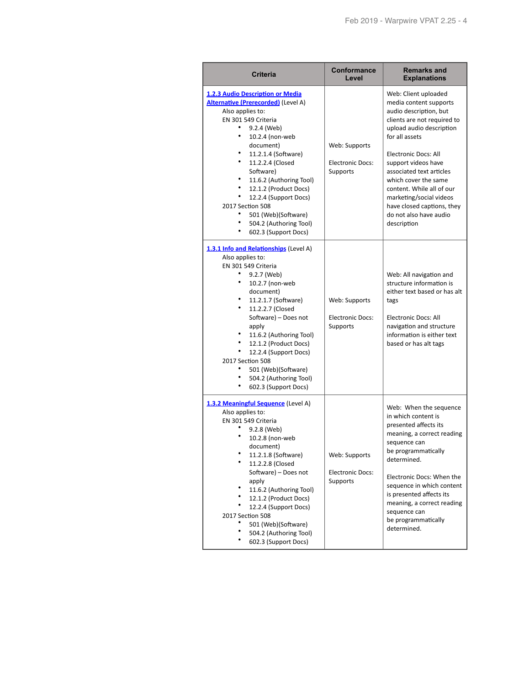| <b>Criteria</b>                                                                                                                                                                                                                                                                                                                                                                                                           | <b>Conformance</b><br>Level                          | <b>Remarks and</b><br><b>Explanations</b>                                                                                                                                                                                                                                                                                                                                               |
|---------------------------------------------------------------------------------------------------------------------------------------------------------------------------------------------------------------------------------------------------------------------------------------------------------------------------------------------------------------------------------------------------------------------------|------------------------------------------------------|-----------------------------------------------------------------------------------------------------------------------------------------------------------------------------------------------------------------------------------------------------------------------------------------------------------------------------------------------------------------------------------------|
| 1.2.3 Audio Description or Media<br><b>Alternative (Prerecorded)</b> (Level A)<br>Also applies to:<br>EN 301 549 Criteria<br>٠<br>9.2.4 (Web)<br>10.2.4 (non-web<br>document)<br>٠<br>11.2.1.4 (Software)<br>11.2.2.4 (Closed<br>Software)<br>11.6.2 (Authoring Tool)<br>12.1.2 (Product Docs)<br>12.2.4 (Support Docs)<br>2017 Section 508<br>501 (Web)(Software)<br>504.2 (Authoring Tool)<br>۰<br>602.3 (Support Docs) | Web: Supports<br><b>Electronic Docs:</b><br>Supports | Web: Client uploaded<br>media content supports<br>audio description, but<br>clients are not required to<br>upload audio description<br>for all assets<br>Electronic Docs: All<br>support videos have<br>associated text articles<br>which cover the same<br>content. While all of our<br>marketing/social videos<br>have closed captions, they<br>do not also have audio<br>description |
| 1.3.1 Info and Relationships (Level A)<br>Also applies to:<br>EN 301 549 Criteria<br>9.2.7 (Web)<br>٠<br>10.2.7 (non-web<br>document)<br>11.2.1.7 (Software)<br>٠<br>11.2.2.7 (Closed<br>Software) - Does not<br>apply<br>11.6.2 (Authoring Tool)<br>12.1.2 (Product Docs)<br>٠<br>12.2.4 (Support Docs)<br>2017 Section 508<br>501 (Web)(Software)<br>٠<br>504.2 (Authoring Tool)<br>602.3 (Support Docs)                | Web: Supports<br><b>Electronic Docs:</b><br>Supports | Web: All navigation and<br>structure information is<br>either text based or has alt<br>tags<br>Electronic Docs: All<br>navigation and structure<br>information is either text<br>based or has alt tags                                                                                                                                                                                  |
| 1.3.2 Meaningful Sequence (Level A)<br>Also applies to:<br>EN 301 549 Criteria<br>9.2.8 (Web)<br>10.2.8 (non-web<br>document)<br>11.2.1.8 (Software)<br>11.2.2.8 (Closed<br>Software) - Does not<br>apply<br>11.6.2 (Authoring Tool)<br>12.1.2 (Product Docs)<br>12.2.4 (Support Docs)<br>2017 Section 508<br>501 (Web)(Software)<br>504.2 (Authoring Tool)<br>602.3 (Support Docs)                                       | Web: Supports<br><b>Electronic Docs:</b><br>Supports | Web: When the sequence<br>in which content is<br>presented affects its<br>meaning, a correct reading<br>sequence can<br>be programmatically<br>determined.<br>Electronic Docs: When the<br>sequence in which content<br>is presented affects its<br>meaning, a correct reading<br>sequence can<br>be programmatically<br>determined.                                                    |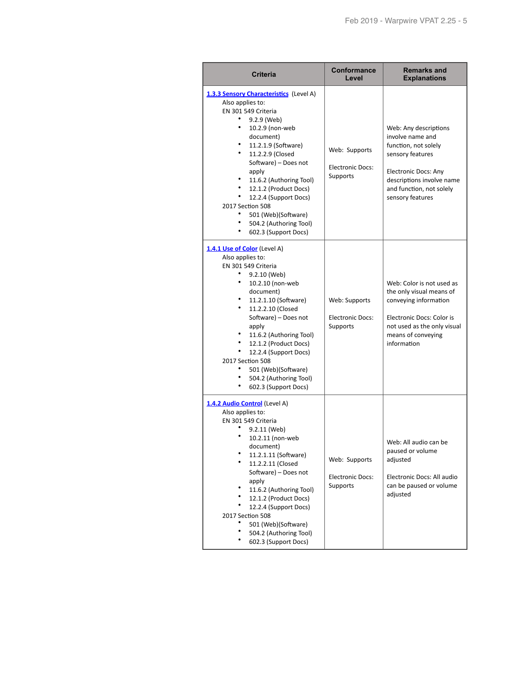| Criteria                                                                                                                                                                                                                                                                                                                                                                                                               | <b>Conformance</b><br>Level                          | <b>Remarks and</b><br><b>Explanations</b>                                                                                                                                                         |
|------------------------------------------------------------------------------------------------------------------------------------------------------------------------------------------------------------------------------------------------------------------------------------------------------------------------------------------------------------------------------------------------------------------------|------------------------------------------------------|---------------------------------------------------------------------------------------------------------------------------------------------------------------------------------------------------|
| 1.3.3 Sensory Characteristics (Level A)<br>Also applies to:<br>EN 301 549 Criteria<br>9.2.9 (Web)<br>۰<br>10.2.9 (non-web<br>document)<br>11.2.1.9 (Software)<br>٠<br>11.2.2.9 (Closed<br>Software) - Does not<br>apply<br>11.6.2 (Authoring Tool)<br>12.1.2 (Product Docs)<br>٠<br>12.2.4 (Support Docs)<br>2017 Section 508<br>٠<br>501 (Web)(Software)<br>٠<br>504.2 (Authoring Tool)<br>602.3 (Support Docs)       | Web: Supports<br><b>Electronic Docs:</b><br>Supports | Web: Any descriptions<br>involve name and<br>function, not solely<br>sensory features<br><b>Electronic Docs: Any</b><br>descriptions involve name<br>and function, not solely<br>sensory features |
| 1.4.1 Use of Color (Level A)<br>Also applies to:<br>EN 301 549 Criteria<br>٠<br>9.2.10 (Web)<br>٠<br>10.2.10 (non-web<br>document)<br>٠<br>11.2.1.10 (Software)<br>۰<br>11.2.2.10 (Closed<br>Software) - Does not<br>apply<br>11.6.2 (Authoring Tool)<br>12.1.2 (Product Docs)<br>$\bullet$<br>12.2.4 (Support Docs)<br>2017 Section 508<br>501 (Web)(Software)<br>٠<br>504.2 (Authoring Tool)<br>602.3 (Support Docs) | Web: Supports<br><b>Electronic Docs:</b><br>Supports | Web: Color is not used as<br>the only visual means of<br>conveying information<br>Electronic Docs: Color is<br>not used as the only visual<br>means of conveying<br>information                   |
| 1.4.2 Audio Control (Level A)<br>Also applies to:<br>EN 301 549 Criteria<br>9.2.11 (Web)<br>10.2.11 (non-web<br>document)<br>11.2.1.11 (Software)<br>11.2.2.11 (Closed<br>Software) - Does not<br>apply<br>11.6.2 (Authoring Tool)<br>12.1.2 (Product Docs)<br>12.2.4 (Support Docs)<br>2017 Section 508<br>501 (Web)(Software)<br>504.2 (Authoring Tool)<br>602.3 (Support Docs)                                      | Web: Supports<br><b>Electronic Docs:</b><br>Supports | Web: All audio can be<br>paused or volume<br>adjusted<br>Electronic Docs: All audio<br>can be paused or volume<br>adjusted                                                                        |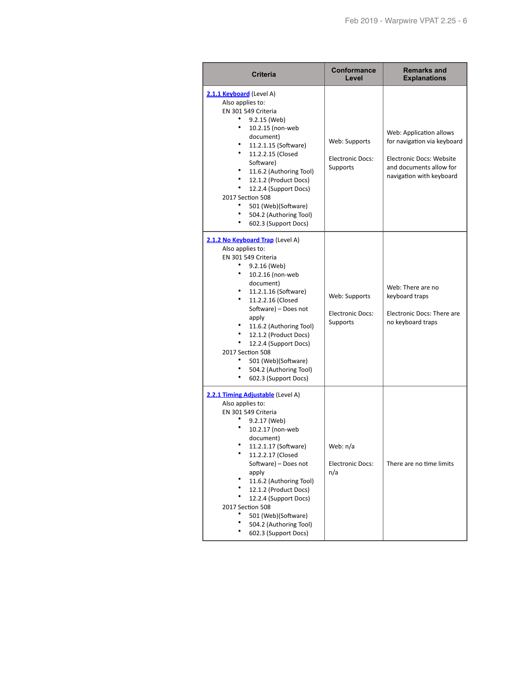| <b>Criteria</b>                                                                                                                                                                                                                                                                                                                                                                       | <b>Conformance</b><br>Level                          | <b>Remarks and</b><br><b>Explanations</b>                                                                                                 |
|---------------------------------------------------------------------------------------------------------------------------------------------------------------------------------------------------------------------------------------------------------------------------------------------------------------------------------------------------------------------------------------|------------------------------------------------------|-------------------------------------------------------------------------------------------------------------------------------------------|
| 2.1.1 Keyboard (Level A)<br>Also applies to:<br>EN 301 549 Criteria<br>9.2.15 (Web)<br>10.2.15 (non-web<br>document)<br>11.2.1.15 (Software)<br>11.2.2.15 (Closed<br>Software)<br>11.6.2 (Authoring Tool)<br>12.1.2 (Product Docs)<br>12.2.4 (Support Docs)<br>2017 Section 508<br>501 (Web)(Software)<br>504.2 (Authoring Tool)<br>602.3 (Support Docs)                              | Web: Supports<br><b>Electronic Docs:</b><br>Supports | Web: Application allows<br>for navigation via keyboard<br>Electronic Docs: Website<br>and documents allow for<br>navigation with keyboard |
| 2.1.2 No Keyboard Trap (Level A)<br>Also applies to:<br>EN 301 549 Criteria<br>9.2.16 (Web)<br>10.2.16 (non-web<br>document)<br>11.2.1.16 (Software)<br>11.2.2.16 (Closed<br>Software) - Does not<br>apply<br>11.6.2 (Authoring Tool)<br>12.1.2 (Product Docs)<br>12.2.4 (Support Docs)<br>2017 Section 508<br>501 (Web)(Software)<br>504.2 (Authoring Tool)<br>602.3 (Support Docs)  | Web: Supports<br>Electronic Docs:<br>Supports        | Web: There are no<br>keyboard traps<br>Electronic Docs: There are<br>no keyboard traps                                                    |
| 2.2.1 Timing Adjustable (Level A)<br>Also applies to:<br>EN 301 549 Criteria<br>9.2.17 (Web)<br>10.2.17 (non-web<br>document)<br>11.2.1.17 (Software)<br>11.2.2.17 (Closed<br>Software) - Does not<br>apply<br>11.6.2 (Authoring Tool)<br>12.1.2 (Product Docs)<br>12.2.4 (Support Docs)<br>2017 Section 508<br>501 (Web)(Software)<br>504.2 (Authoring Tool)<br>602.3 (Support Docs) | Web: n/a<br><b>Electronic Docs:</b><br>n/a           | There are no time limits                                                                                                                  |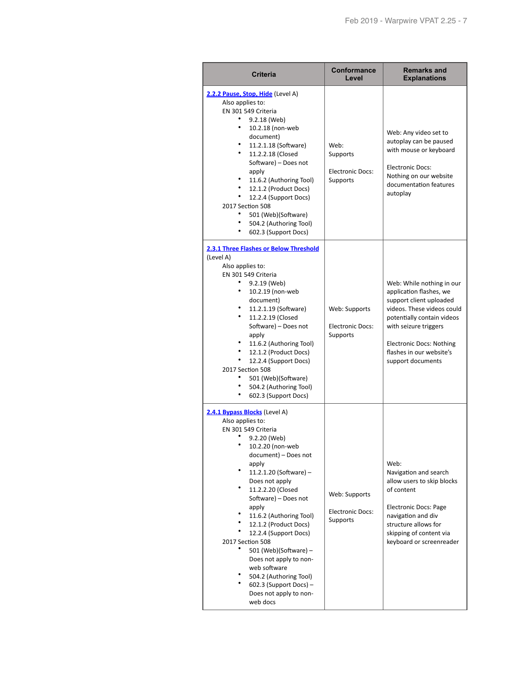| <b>Criteria</b>                                                                                                                                                                                                                                                                                                                                                                                                                                                                                                      | Conformance<br>Level                                           | <b>Remarks and</b><br><b>Explanations</b>                                                                                                                                                                                                                |
|----------------------------------------------------------------------------------------------------------------------------------------------------------------------------------------------------------------------------------------------------------------------------------------------------------------------------------------------------------------------------------------------------------------------------------------------------------------------------------------------------------------------|----------------------------------------------------------------|----------------------------------------------------------------------------------------------------------------------------------------------------------------------------------------------------------------------------------------------------------|
| 2.2.2 Pause, Stop, Hide (Level A)<br>Also applies to:<br>EN 301 549 Criteria<br>9.2.18 (Web)<br>۰<br>10.2.18 (non-web<br>document)<br>11.2.1.18 (Software)<br>۰<br>11.2.2.18 (Closed<br>Software) - Does not<br>apply<br>11.6.2 (Authoring Tool)<br>12.1.2 (Product Docs)<br>12.2.4 (Support Docs)<br>2017 Section 508<br>501 (Web)(Software)<br>504.2 (Authoring Tool)<br>٠<br>602.3 (Support Docs)                                                                                                                 | Web:<br>Supports<br><b>Electronic Docs:</b><br><b>Supports</b> | Web: Any video set to<br>autoplay can be paused<br>with mouse or keyboard<br><b>Electronic Docs:</b><br>Nothing on our website<br>documentation features<br>autoplay                                                                                     |
| 2.3.1 Three Flashes or Below Threshold<br>(Level A)<br>Also applies to:<br>EN 301 549 Criteria<br>9.2.19 (Web)<br>10.2.19 (non-web<br>document)<br>11.2.1.19 (Software)<br>11.2.2.19 (Closed<br>Software) - Does not<br>apply<br>11.6.2 (Authoring Tool)<br>12.1.2 (Product Docs)<br>12.2.4 (Support Docs)<br>2017 Section 508<br>501 (Web)(Software)<br>504.2 (Authoring Tool)<br>602.3 (Support Docs)                                                                                                              | Web: Supports<br><b>Electronic Docs:</b><br>Supports           | Web: While nothing in our<br>application flashes, we<br>support client uploaded<br>videos. These videos could<br>potentially contain videos<br>with seizure triggers<br><b>Electronic Docs: Nothing</b><br>flashes in our website's<br>support documents |
| 2.4.1 Bypass Blocks (Level A)<br>Also applies to:<br>EN 301 549 Criteria<br>9.2.20 (Web)<br>10.2.20 (non-web<br>document) – Does not<br>apply<br>11.2.1.20 (Software) -<br>Does not apply<br>٠<br>11.2.2.20 (Closed<br>Software) - Does not<br>apply<br>11.6.2 (Authoring Tool)<br>12.1.2 (Product Docs)<br>12.2.4 (Support Docs)<br>2017 Section 508<br>501 (Web)(Software) -<br>Does not apply to non-<br>web software<br>504.2 (Authoring Tool)<br>$602.3$ (Support Docs) -<br>Does not apply to non-<br>web docs | Web: Supports<br><b>Electronic Docs:</b><br>Supports           | Web:<br>Navigation and search<br>allow users to skip blocks<br>of content<br>Electronic Docs: Page<br>navigation and div<br>structure allows for<br>skipping of content via<br>keyboard or screenreader                                                  |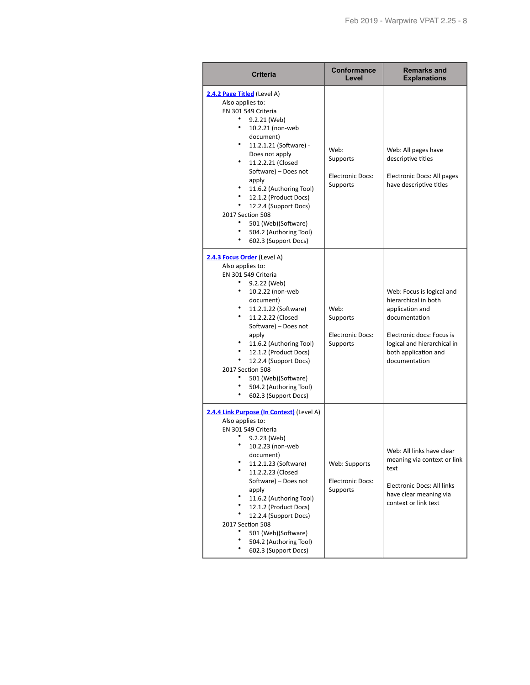| <b>Criteria</b>                                                                                                                                                                                                                                                                                                                                                                                                            | Conformance<br>Level                                           | <b>Remarks and</b><br><b>Explanations</b>                                                                                                                                                  |
|----------------------------------------------------------------------------------------------------------------------------------------------------------------------------------------------------------------------------------------------------------------------------------------------------------------------------------------------------------------------------------------------------------------------------|----------------------------------------------------------------|--------------------------------------------------------------------------------------------------------------------------------------------------------------------------------------------|
| 2.4.2 Page Titled (Level A)<br>Also applies to:<br>EN 301 549 Criteria<br>9.2.21 (Web)<br>۰<br>10.2.21 (non-web<br>document)<br>11.2.1.21 (Software) -<br>Does not apply<br>11.2.2.21 (Closed<br>$\bullet$<br>Software) - Does not<br>apply<br>11.6.2 (Authoring Tool)<br>12.1.2 (Product Docs)<br>٠<br>12.2.4 (Support Docs)<br>2017 Section 508<br>501 (Web)(Software)<br>504.2 (Authoring Tool)<br>602.3 (Support Docs) | Web:<br>Supports<br><b>Electronic Docs:</b><br><b>Supports</b> | Web: All pages have<br>descriptive titles<br>Electronic Docs: All pages<br>have descriptive titles                                                                                         |
| 2.4.3 Focus Order (Level A)<br>Also applies to:<br>EN 301 549 Criteria<br>9.2.22 (Web)<br>10.2.22 (non-web<br>document)<br>11.2.1.22 (Software)<br>11.2.2.22 (Closed<br>Software) - Does not<br>apply<br>11.6.2 (Authoring Tool)<br>12.1.2 (Product Docs)<br>٠<br>12.2.4 (Support Docs)<br>2017 Section 508<br>501 (Web)(Software)<br>504.2 (Authoring Tool)<br>602.3 (Support Docs)                                       | Web:<br>Supports<br><b>Electronic Docs:</b><br>Supports        | Web: Focus is logical and<br>hierarchical in both<br>application and<br>documentation<br>Electronic docs: Focus is<br>logical and hierarchical in<br>both application and<br>documentation |
| 2.4.4 Link Purpose (In Context) (Level A)<br>Also applies to:<br>EN 301 549 Criteria<br>9.2.23 (Web)<br>10.2.23 (non-web<br>document)<br>11.2.1.23 (Software)<br>11.2.2.23 (Closed<br>Software) - Does not<br>apply<br>11.6.2 (Authoring Tool)<br>12.1.2 (Product Docs)<br>12.2.4 (Support Docs)<br>2017 Section 508<br>501 (Web)(Software)<br>504.2 (Authoring Tool)<br>602.3 (Support Docs)                              | Web: Supports<br><b>Electronic Docs:</b><br>Supports           | Web: All links have clear<br>meaning via context or link<br>text<br>Electronic Docs: All links<br>have clear meaning via<br>context or link text                                           |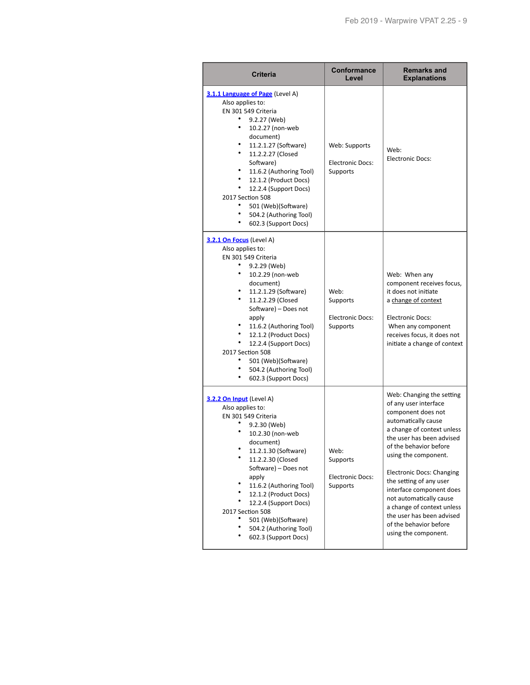| Criteria                                                                                                                                                                                                                                                                                                                                                                                                        | Conformance<br>Level                                        | <b>Remarks and</b><br><b>Explanations</b>                                                                                                                                                                                                                                                                                                                                                                                                       |
|-----------------------------------------------------------------------------------------------------------------------------------------------------------------------------------------------------------------------------------------------------------------------------------------------------------------------------------------------------------------------------------------------------------------|-------------------------------------------------------------|-------------------------------------------------------------------------------------------------------------------------------------------------------------------------------------------------------------------------------------------------------------------------------------------------------------------------------------------------------------------------------------------------------------------------------------------------|
| 3.1.1 Language of Page (Level A)<br>Also applies to:<br>EN 301 549 Criteria<br>9.2.27 (Web)<br>٠<br>10.2.27 (non-web<br>document)<br>11.2.1.27 (Software)<br>٠<br>11.2.2.27 (Closed<br>Software)<br>٠<br>11.6.2 (Authoring Tool)<br>٠<br>12.1.2 (Product Docs)<br>12.2.4 (Support Docs)<br>2017 Section 508<br>٠<br>501 (Web)(Software)<br>٠<br>504.2 (Authoring Tool)<br>٠<br>602.3 (Support Docs)             | Web: Supports<br><b>Electronic Docs:</b><br><b>Supports</b> | Web:<br><b>Electronic Docs:</b>                                                                                                                                                                                                                                                                                                                                                                                                                 |
| 3.2.1 On Focus (Level A)<br>Also applies to:<br>EN 301 549 Criteria<br>9.2.29 (Web)<br>٠<br>10.2.29 (non-web<br>document)<br>11.2.1.29 (Software)<br>٠<br>11.2.2.29 (Closed<br>Software) - Does not<br>apply<br>٠<br>11.6.2 (Authoring Tool)<br>٠<br>12.1.2 (Product Docs)<br>12.2.4 (Support Docs)<br>2017 Section 508<br>٠<br>501 (Web)(Software)<br>٠<br>504.2 (Authoring Tool)<br>٠<br>602.3 (Support Docs) | Web:<br>Supports<br><b>Electronic Docs:</b><br>Supports     | Web: When any<br>component receives focus,<br>it does not initiate<br>a change of context<br><b>Electronic Docs:</b><br>When any component<br>receives focus, it does not<br>initiate a change of context                                                                                                                                                                                                                                       |
| 3.2.2 On Input (Level A)<br>Also applies to:<br>EN 301 549 Criteria<br>9.2.30 (Web)<br>10.2.30 (non-web<br>document)<br>11.2.1.30 (Software)<br>11.2.2.30 (Closed<br>Software) - Does not<br>apply<br>11.6.2 (Authoring Tool)<br>٠<br>12.1.2 (Product Docs)<br>12.2.4 (Support Docs)<br>2017 Section 508<br>501 (Web)(Software)<br>504.2 (Authoring Tool)<br>602.3 (Support Docs)                               | Web:<br>Supports<br><b>Electronic Docs:</b><br>Supports     | Web: Changing the setting<br>of any user interface<br>component does not<br>automatically cause<br>a change of context unless<br>the user has been advised<br>of the behavior before<br>using the component.<br><b>Electronic Docs: Changing</b><br>the setting of any user<br>interface component does<br>not automatically cause<br>a change of context unless<br>the user has been advised<br>of the behavior before<br>using the component. |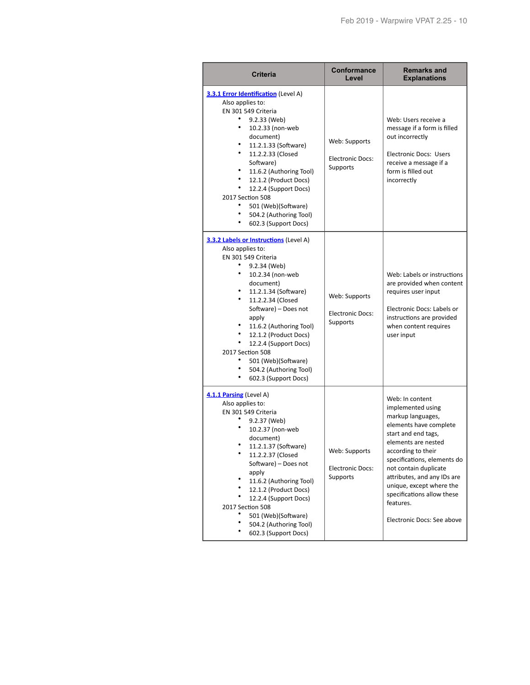| <b>Criteria</b>                                                                                                                                                                                                                                                                                                                                                                                           | <b>Conformance</b><br>Level                                 | <b>Remarks and</b><br><b>Explanations</b>                                                                                                                                                                                                                                                                                                           |
|-----------------------------------------------------------------------------------------------------------------------------------------------------------------------------------------------------------------------------------------------------------------------------------------------------------------------------------------------------------------------------------------------------------|-------------------------------------------------------------|-----------------------------------------------------------------------------------------------------------------------------------------------------------------------------------------------------------------------------------------------------------------------------------------------------------------------------------------------------|
| 3.3.1 Error Identification (Level A)<br>Also applies to:<br>EN 301 549 Criteria<br>9.2.33 (Web)<br>10.2.33 (non-web<br>document)<br>11.2.1.33 (Software)<br>11.2.2.33 (Closed<br>Software)<br>11.6.2 (Authoring Tool)<br>12.1.2 (Product Docs)<br>٠<br>12.2.4 (Support Docs)<br>2017 Section 508<br>٠<br>501 (Web)(Software)<br>٠<br>504.2 (Authoring Tool)<br>602.3 (Support Docs)                       | Web: Supports<br><b>Electronic Docs:</b><br>Supports        | Web: Users receive a<br>message if a form is filled<br>out incorrectly<br>Electronic Docs: Users<br>receive a message if a<br>form is filled out<br>incorrectly                                                                                                                                                                                     |
| 3.3.2 Labels or Instructions (Level A)<br>Also applies to:<br>EN 301 549 Criteria<br>9.2.34 (Web)<br>٠<br>10.2.34 (non-web<br>document)<br>11.2.1.34 (Software)<br>٠<br>11.2.2.34 (Closed<br>Software) - Does not<br>apply<br>11.6.2 (Authoring Tool)<br>12.1.2 (Product Docs)<br>12.2.4 (Support Docs)<br>2017 Section 508<br>501 (Web)(Software)<br>504.2 (Authoring Tool)<br>٠<br>602.3 (Support Docs) | Web: Supports<br><b>Electronic Docs:</b><br><b>Supports</b> | Web: Labels or instructions<br>are provided when content<br>requires user input<br>Electronic Docs: Labels or<br>instructions are provided<br>when content requires<br>user input                                                                                                                                                                   |
| 4.1.1 Parsing (Level A)<br>Also applies to:<br>EN 301 549 Criteria<br>9.2.37 (Web)<br>10.2.37 (non-web<br>document)<br>11.2.1.37 (Software)<br>11.2.2.37 (Closed<br>Software) - Does not<br>apply<br>11.6.2 (Authoring Tool)<br>12.1.2 (Product Docs)<br>12.2.4 (Support Docs)<br>2017 Section 508<br>501 (Web)(Software)<br>504.2 (Authoring Tool)<br>602.3 (Support Docs)                               | Web: Supports<br><b>Electronic Docs:</b><br><b>Supports</b> | Web: In content<br>implemented using<br>markup languages,<br>elements have complete<br>start and end tags,<br>elements are nested<br>according to their<br>specifications, elements do<br>not contain duplicate<br>attributes, and any IDs are<br>unique, except where the<br>specifications allow these<br>features.<br>Electronic Docs: See above |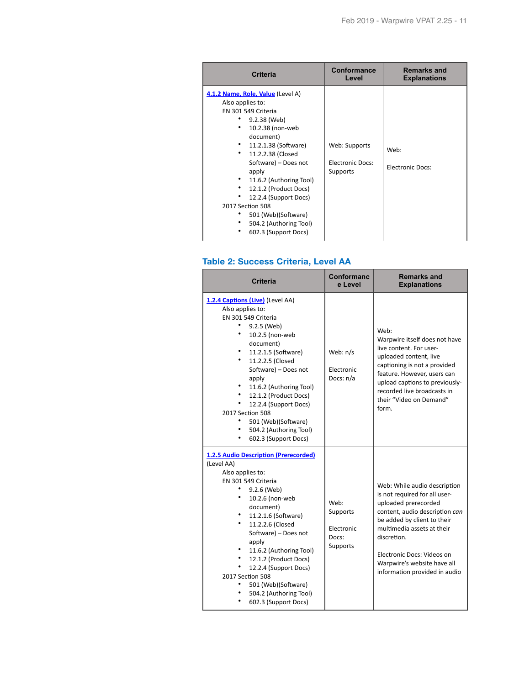| <b>Criteria</b>                                                                                                                                                                                                                                                                                                                                                                       | Conformance<br>Level                                 | <b>Remarks and</b><br><b>Explanations</b> |
|---------------------------------------------------------------------------------------------------------------------------------------------------------------------------------------------------------------------------------------------------------------------------------------------------------------------------------------------------------------------------------------|------------------------------------------------------|-------------------------------------------|
| 4.1.2 Name, Role, Value (Level A)<br>Also applies to:<br>EN 301 549 Criteria<br>9.2.38 (Web)<br>10.2.38 (non-web<br>document)<br>11.2.1.38 (Software)<br>11.2.2.38 (Closed<br>Software) - Does not<br>apply<br>11.6.2 (Authoring Tool)<br>12.1.2 (Product Docs)<br>12.2.4 (Support Docs)<br>2017 Section 508<br>501 (Web)(Software)<br>504.2 (Authoring Tool)<br>602.3 (Support Docs) | Web: Supports<br><b>Electronic Docs:</b><br>Supports | Web:<br><b>Electronic Docs:</b>           |

#### **Table 2: Success Criteria, Level AA**

п

| <b>Criteria</b>                                                                                                                                                                                                                                                                                                                                                                                                 | <b>Conformanc</b><br>e Level                        | <b>Remarks and</b><br><b>Explanations</b>                                                                                                                                                                                                                                                         |
|-----------------------------------------------------------------------------------------------------------------------------------------------------------------------------------------------------------------------------------------------------------------------------------------------------------------------------------------------------------------------------------------------------------------|-----------------------------------------------------|---------------------------------------------------------------------------------------------------------------------------------------------------------------------------------------------------------------------------------------------------------------------------------------------------|
| 1.2.4 Captions (Live) (Level AA)<br>Also applies to:<br>EN 301 549 Criteria<br>٠<br>9.2.5 (Web)<br>10.2.5 (non-web<br>document)<br>11.2.1.5 (Software)<br>11.2.2.5 (Closed<br>Software) - Does not<br>apply<br>11.6.2 (Authoring Tool)<br>12.1.2 (Product Docs)<br>12.2.4 (Support Docs)<br>2017 Section 508<br>501 (Web)(Software)<br>504.2 (Authoring Tool)<br>602.3 (Support Docs)                           | Web: n/s<br>Electronic<br>Docs: n/a                 | Web:<br>Warpwire itself does not have<br>live content. For user-<br>uploaded content, live<br>captioning is not a provided<br>feature. However, users can<br>upload captions to previously-<br>recorded live broadcasts in<br>their "Video on Demand"<br>form.                                    |
| <b>1.2.5 Audio Description (Prerecorded)</b><br>(Level AA)<br>Also applies to:<br>EN 301 549 Criteria<br>9.2.6 (Web)<br>10.2.6 (non-web<br>document)<br>11.2.1.6 (Software)<br>٠<br>11.2.2.6 (Closed<br>Software) - Does not<br>apply<br>11.6.2 (Authoring Tool)<br>12.1.2 (Product Docs)<br>12.2.4 (Support Docs)<br>2017 Section 508<br>501 (Web)(Software)<br>504.2 (Authoring Tool)<br>602.3 (Support Docs) | Web:<br>Supports<br>Electronic<br>Docs:<br>Supports | Web: While audio description<br>is not required for all user-<br>uploaded prerecorded<br>content, audio description can<br>be added by client to their<br>multimedia assets at their<br>discretion.<br>Electronic Docs: Videos on<br>Warpwire's website have all<br>information provided in audio |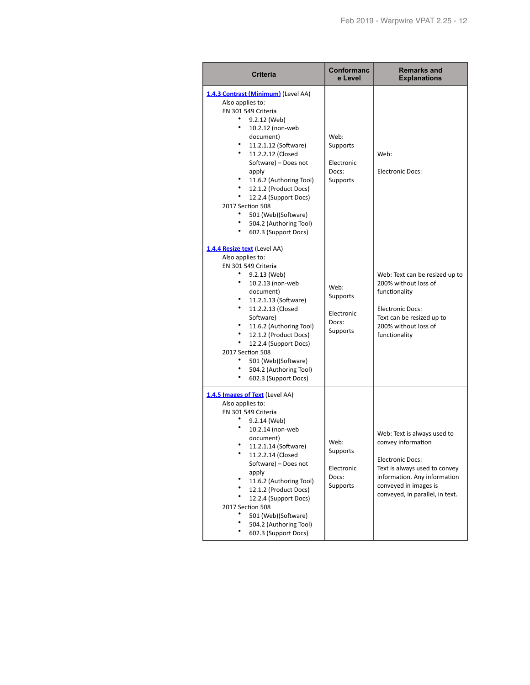| <b>Criteria</b>                                                                                                                                                                                                                                                                                                                                                                                                  | Conformanc<br>e Level                                                                                            | <b>Remarks and</b><br><b>Explanations</b>                                                                                                                                                                 |
|------------------------------------------------------------------------------------------------------------------------------------------------------------------------------------------------------------------------------------------------------------------------------------------------------------------------------------------------------------------------------------------------------------------|------------------------------------------------------------------------------------------------------------------|-----------------------------------------------------------------------------------------------------------------------------------------------------------------------------------------------------------|
| 1.4.3 Contrast (Minimum) (Level AA)<br>Also applies to:<br>EN 301 549 Criteria<br>9.2.12 (Web)<br>٠<br>10.2.12 (non-web<br>document)<br>٠<br>11.2.1.12 (Software)<br>11.2.2.12 (Closed<br>Software) - Does not<br>apply<br>11.6.2 (Authoring Tool)<br>٠<br>12.1.2 (Product Docs)<br>12.2.4 (Support Docs)<br>2017 Section 508<br>٠<br>501 (Web)(Software)<br>٠<br>504.2 (Authoring Tool)<br>602.3 (Support Docs) | Web:<br>Supports<br>Electronic<br>Docs:<br><b>Supports</b>                                                       | Web:<br><b>Electronic Docs:</b>                                                                                                                                                                           |
| <b>1.4.4 Resize text</b> (Level AA)<br>Also applies to:<br>EN 301 549 Criteria<br>9.2.13 (Web)<br>٠<br>10.2.13 (non-web<br>document)<br>٠<br>11.2.1.13 (Software)<br>٠<br>11.2.2.13 (Closed<br>Software)<br>٠<br>11.6.2 (Authoring Tool)<br>٠<br>12.1.2 (Product Docs)<br>12.2.4 (Support Docs)<br>2017 Section 508<br>٠<br>501 (Web)(Software)<br>504.2 (Authoring Tool)<br>٠<br>602.3 (Support Docs)           | Web:<br>functionality<br>Supports<br><b>Electronic Docs:</b><br>Electronic<br>Docs:<br>Supports<br>functionality | Web: Text can be resized up to<br>200% without loss of<br>Text can be resized up to<br>200% without loss of                                                                                               |
| <b>1.4.5 Images of Text</b> (Level AA)<br>Also applies to:<br>EN 301 549 Criteria<br>9.2.14 (Web)<br>10.2.14 (non-web<br>document)<br>11.2.1.14 (Software)<br>11.2.2.14 (Closed<br>Software) - Does not<br>apply<br>11.6.2 (Authoring Tool)<br>12.1.2 (Product Docs)<br>12.2.4 (Support Docs)<br>2017 Section 508<br>501 (Web)(Software)<br>504.2 (Authoring Tool)<br>602.3 (Support Docs)                       | Web:<br>Supports<br>Electronic<br>Docs:<br><b>Supports</b>                                                       | Web: Text is always used to<br>convey information<br><b>Electronic Docs:</b><br>Text is always used to convey<br>information. Any information<br>conveyed in images is<br>conveyed, in parallel, in text. |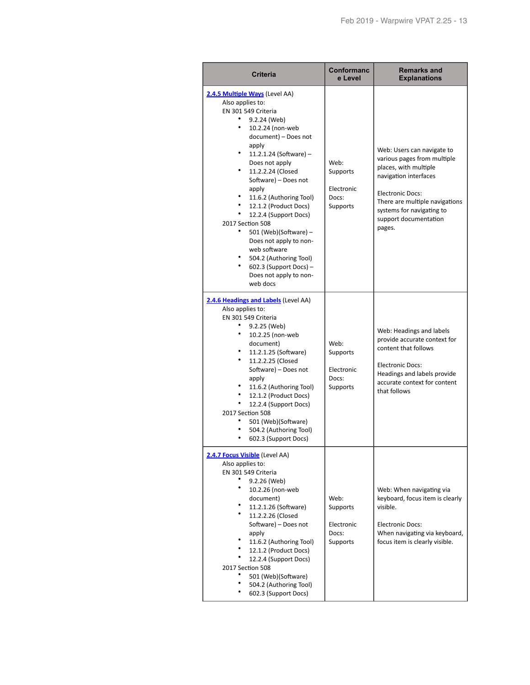| <b>Criteria</b>                                                                                                                                                                                                                                                                                                                                                                                                                                                                                                                                 | Conformanc<br>e Level                               | <b>Remarks and</b><br><b>Explanations</b>                                                                                                                                                                                                |
|-------------------------------------------------------------------------------------------------------------------------------------------------------------------------------------------------------------------------------------------------------------------------------------------------------------------------------------------------------------------------------------------------------------------------------------------------------------------------------------------------------------------------------------------------|-----------------------------------------------------|------------------------------------------------------------------------------------------------------------------------------------------------------------------------------------------------------------------------------------------|
| 2.4.5 Multiple Ways (Level AA)<br>Also applies to:<br>EN 301 549 Criteria<br>9.2.24 (Web)<br>٠<br>10.2.24 (non-web<br>document) - Does not<br>apply<br>11.2.1.24 (Software) -<br>Does not apply<br>$\bullet$<br>11.2.2.24 (Closed<br>Software) - Does not<br>apply<br>11.6.2 (Authoring Tool)<br>12.1.2 (Product Docs)<br>$\bullet$<br>12.2.4 (Support Docs)<br>2017 Section 508<br>501 (Web)(Software) -<br>Does not apply to non-<br>web software<br>504.2 (Authoring Tool)<br>$602.3$ (Support Docs) –<br>Does not apply to non-<br>web docs | Web:<br>Supports<br>Electronic<br>Docs:<br>Supports | Web: Users can navigate to<br>various pages from multiple<br>places, with multiple<br>navigation interfaces<br><b>Electronic Docs:</b><br>There are multiple navigations<br>systems for navigating to<br>support documentation<br>pages. |
| 2.4.6 Headings and Labels (Level AA)<br>Also applies to:<br>EN 301 549 Criteria<br>$\bullet$<br>9.2.25 (Web)<br>٠<br>10.2.25 (non-web<br>document)<br>11.2.1.25 (Software)<br>٠<br>11.2.2.25 (Closed<br>Software) - Does not<br>apply<br>11.6.2 (Authoring Tool)<br>12.1.2 (Product Docs)<br>$\bullet$<br>12.2.4 (Support Docs)<br>2017 Section 508<br>501 (Web)(Software)<br>504.2 (Authoring Tool)<br>602.3 (Support Docs)                                                                                                                    | Web:<br>Supports<br>Electronic<br>Docs:<br>Supports | Web: Headings and labels<br>provide accurate context for<br>content that follows<br><b>Electronic Docs:</b><br>Headings and labels provide<br>accurate context for content<br>that follows                                               |
| 2.4.7 Focus Visible (Level AA)<br>Also applies to:<br>EN 301 549 Criteria<br>9.2.26 (Web)<br>10.2.26 (non-web<br>document)<br>11.2.1.26 (Software)<br>11.2.2.26 (Closed<br>Software) - Does not<br>apply<br>11.6.2 (Authoring Tool)<br>12.1.2 (Product Docs)<br>12.2.4 (Support Docs)<br>2017 Section 508<br>501 (Web)(Software)<br>504.2 (Authoring Tool)<br>602.3 (Support Docs)                                                                                                                                                              | Web:<br>Supports<br>Electronic<br>Docs:<br>Supports | Web: When navigating via<br>keyboard, focus item is clearly<br>visible.<br><b>Electronic Docs:</b><br>When navigating via keyboard,<br>focus item is clearly visible.                                                                    |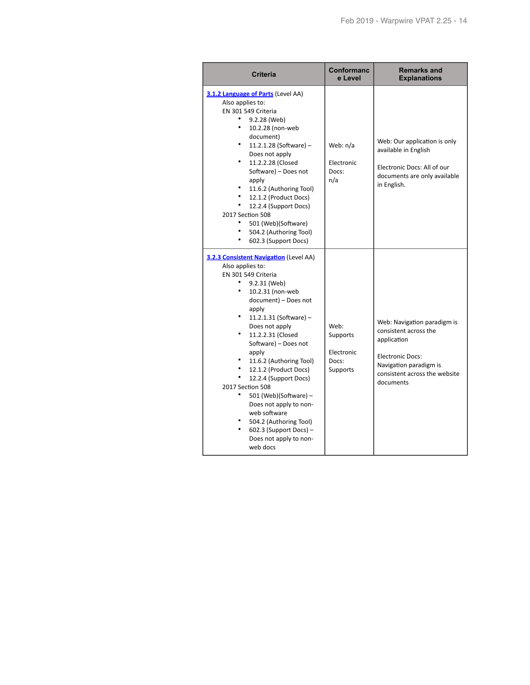| <b>Criteria</b>                                                                                                                                                                                                                                                                                                                                                                                                                                                                                                               | Conformanc<br>e Level                                      | <b>Remarks and</b><br><b>Explanations</b>                                                                                                                              |
|-------------------------------------------------------------------------------------------------------------------------------------------------------------------------------------------------------------------------------------------------------------------------------------------------------------------------------------------------------------------------------------------------------------------------------------------------------------------------------------------------------------------------------|------------------------------------------------------------|------------------------------------------------------------------------------------------------------------------------------------------------------------------------|
| 3.1.2 Language of Parts (Level AA)<br>Also applies to:<br>EN 301 549 Criteria<br>9.2.28 (Web)<br>٠<br>10.2.28 (non-web<br>document)<br>11.2.1.28 (Software) -<br>Does not apply<br>11.2.2.28 (Closed<br>Software) - Does not<br>apply<br>11.6.2 (Authoring Tool)<br>12.1.2 (Product Docs)<br>12.2.4 (Support Docs)<br>2017 Section 508<br>501 (Web)(Software)<br>504.2 (Authoring Tool)<br>٠<br>602.3 (Support Docs)                                                                                                          | Web: n/a<br>Electronic<br>Docs:<br>n/a                     | Web: Our application is only<br>available in English<br>Electronic Docs: All of our<br>documents are only available<br>in English.                                     |
| 3.2.3 Consistent Navigation (Level AA)<br>Also applies to:<br>EN 301 549 Criteria<br>9.2.31 (Web)<br>٠<br>10.2.31 (non-web<br>document) - Does not<br>apply<br>11.2.1.31 (Software) -<br>Does not apply<br>11.2.2.31 (Closed<br>Software) - Does not<br>apply<br>11.6.2 (Authoring Tool)<br>12.1.2 (Product Docs)<br>12.2.4 (Support Docs)<br>2017 Section 508<br>501 (Web)(Software) -<br>Does not apply to non-<br>web software<br>504.2 (Authoring Tool)<br>$602.3$ (Support Docs) –<br>Does not apply to non-<br>web docs | Web:<br>Supports<br>Electronic<br>Docs:<br><b>Supports</b> | Web: Navigation paradigm is<br>consistent across the<br>application<br><b>Electronic Docs:</b><br>Navigation paradigm is<br>consistent across the website<br>documents |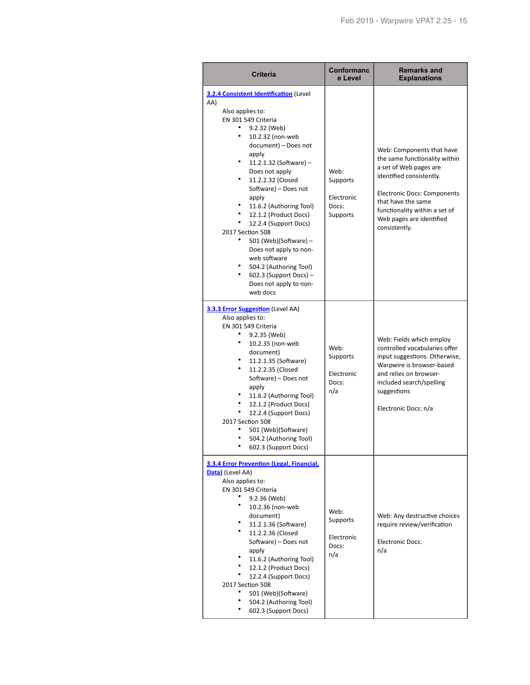| <b>Criteria</b>                                                                                                                                                                                                                                                                                                                                                                                                                                                                                                                                                    | Conformanc<br>e Level                               | <b>Remarks and</b><br><b>Explanations</b>                                                                                                                                                                                                           |
|--------------------------------------------------------------------------------------------------------------------------------------------------------------------------------------------------------------------------------------------------------------------------------------------------------------------------------------------------------------------------------------------------------------------------------------------------------------------------------------------------------------------------------------------------------------------|-----------------------------------------------------|-----------------------------------------------------------------------------------------------------------------------------------------------------------------------------------------------------------------------------------------------------|
| 3.2.4 Consistent Identification (Level<br>AA)<br>Also applies to:<br>EN 301 549 Criteria<br>٠<br>9.2.32 (Web)<br>10.2.32 (non-web<br>document) - Does not<br>apply<br>٠<br>11.2.1.32 (Software) -<br>Does not apply<br>٠<br>11.2.2.32 (Closed<br>Software) - Does not<br>apply<br>٠<br>11.6.2 (Authoring Tool)<br>٠<br>12.1.2 (Product Docs)<br>٠<br>12.2.4 (Support Docs)<br>2017 Section 508<br>501 (Web)(Software) -<br>Does not apply to non-<br>web software<br>504.2 (Authoring Tool)<br>٠<br>$602.3$ (Support Docs) -<br>Does not apply to non-<br>web docs | Web:<br>Supports<br>Electronic<br>Docs:<br>Supports | Web: Components that have<br>the same functionality within<br>a set of Web pages are<br>identified consistently.<br>Electronic Docs: Components<br>that have the same<br>functionality within a set of<br>Web pages are identified<br>consistently. |
| <b>3.3.3 Error Suggestion</b> (Level AA)<br>Also applies to:<br>EN 301 549 Criteria<br>9.2.35 (Web)<br>٠<br>10.2.35 (non-web<br>document)<br>11.2.1.35 (Software)<br>11.2.2.35 (Closed<br>Software) - Does not<br>apply<br>11.6.2 (Authoring Tool)<br>٠<br>12.1.2 (Product Docs)<br>٠<br>12.2.4 (Support Docs)<br>2017 Section 508<br>501 (Web)(Software)<br>504.2 (Authoring Tool)<br>602.3 (Support Docs)                                                                                                                                                        | Web:<br>Supports<br>Electronic<br>Docs:<br>n/a      | Web: Fields which employ<br>controlled vocabularies offer<br>input suggestions. Otherwise,<br>Warpwire is browser-based<br>and relies on browser-<br>included search/spelling<br>suggestions<br>Electronic Docs: n/a                                |
| 3.3.4 Error Prevention (Legal, Financial,<br>Data) (Level AA)<br>Also applies to:<br>EN 301 549 Criteria<br>9.2.36 (Web)<br>10.2.36 (non-web<br>document)<br>11.2.1.36 (Software)<br>11.2.2.36 (Closed<br>Software) - Does not<br>apply<br>11.6.2 (Authoring Tool)<br>12.1.2 (Product Docs)<br>12.2.4 (Support Docs)<br>2017 Section 508<br>501 (Web)(Software)<br>504.2 (Authoring Tool)<br>602.3 (Support Docs)                                                                                                                                                  | Web:<br>Supports<br>Electronic<br>Docs:<br>n/a      | Web: Any destructive choices<br>require review/verification<br><b>Electronic Docs:</b><br>n/a                                                                                                                                                       |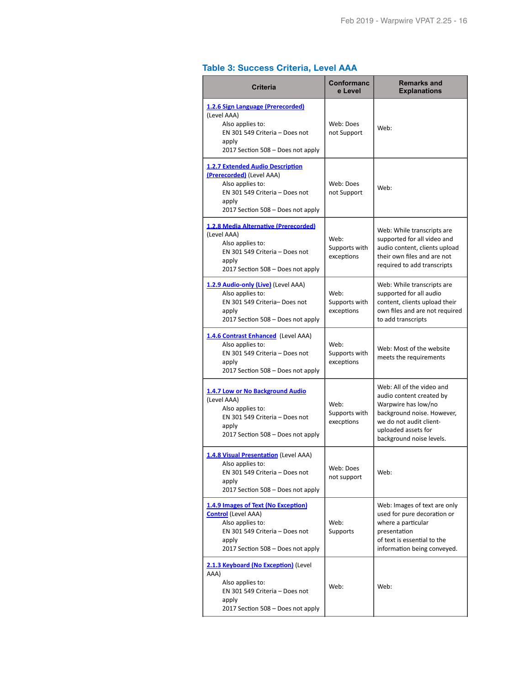## **Table 3: Success Criteria, Level AAA**

| <b>Criteria</b>                                                                                                                                                          | <b>Conformanc</b><br>e Level        | <b>Remarks and</b><br><b>Explanations</b>                                                                                                                                                |
|--------------------------------------------------------------------------------------------------------------------------------------------------------------------------|-------------------------------------|------------------------------------------------------------------------------------------------------------------------------------------------------------------------------------------|
| 1.2.6 Sign Language (Prerecorded)<br>(Level AAA)<br>Also applies to:<br>EN 301 549 Criteria - Does not<br>apply<br>2017 Section 508 - Does not apply                     | Web: Does<br>not Support            | Web:                                                                                                                                                                                     |
| <b>1.2.7 Extended Audio Description</b><br>(Prerecorded) (Level AAA)<br>Also applies to:<br>EN 301 549 Criteria - Does not<br>apply<br>2017 Section 508 - Does not apply | Web: Does<br>not Support            | Web:                                                                                                                                                                                     |
| 1.2.8 Media Alternative (Prerecorded)<br>(Level AAA)<br>Also applies to:<br>EN 301 549 Criteria - Does not<br>apply<br>2017 Section 508 - Does not apply                 | Web:<br>Supports with<br>exceptions | Web: While transcripts are<br>supported for all video and<br>audio content, clients upload<br>their own files and are not<br>required to add transcripts                                 |
| 1.2.9 Audio-only (Live) (Level AAA)<br>Also applies to:<br>EN 301 549 Criteria- Does not<br>apply<br>2017 Section 508 - Does not apply                                   | Web:<br>Supports with<br>exceptions | Web: While transcripts are<br>supported for all audio<br>content, clients upload their<br>own files and are not required<br>to add transcripts                                           |
| 1.4.6 Contrast Enhanced (Level AAA)<br>Also applies to:<br>EN 301 549 Criteria - Does not<br>apply<br>2017 Section 508 - Does not apply                                  | Web:<br>Supports with<br>exceptions | Web: Most of the website<br>meets the requirements                                                                                                                                       |
| 1.4.7 Low or No Background Audio<br>(Level AAA)<br>Also applies to:<br>EN 301 549 Criteria - Does not<br>apply<br>2017 Section 508 - Does not apply                      | Web:<br>Supports with<br>execptions | Web: All of the video and<br>audio content created by<br>Warpwire has low/no<br>background noise. However,<br>we do not audit client-<br>uploaded assets for<br>background noise levels. |
| <b>1.4.8 Visual Presentation</b> (Level AAA)<br>Also applies to:<br>EN 301 549 Criteria - Does not<br>apply<br>2017 Section 508 - Does not apply                         | Web: Does<br>not support            | Web:                                                                                                                                                                                     |
| 1.4.9 Images of Text (No Exception)<br><b>Control</b> (Level AAA)<br>Also applies to:<br>EN 301 549 Criteria - Does not<br>apply<br>2017 Section 508 - Does not apply    | Web:<br>Supports                    | Web: Images of text are only<br>used for pure decoration or<br>where a particular<br>presentation<br>of text is essential to the<br>information being conveyed.                          |
| 2.1.3 Keyboard (No Exception) (Level<br>AAA)<br>Also applies to:<br>EN 301 549 Criteria - Does not<br>apply<br>2017 Section 508 - Does not apply                         | Web:                                | Web:                                                                                                                                                                                     |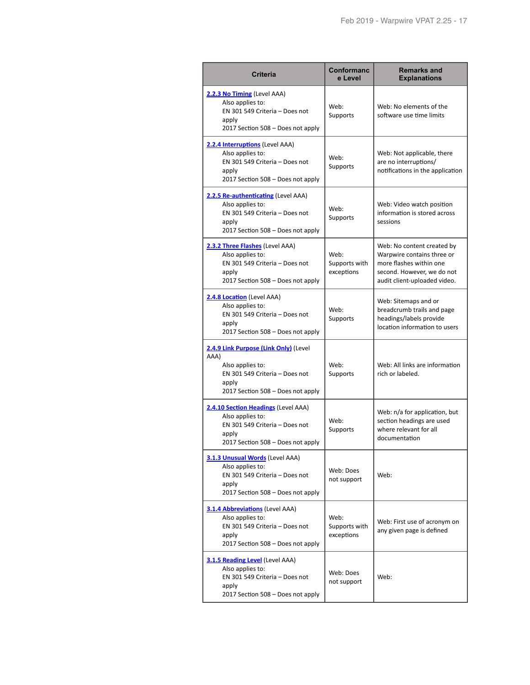| <b>Criteria</b>                                                                                                                                   | <b>Conformanc</b><br>e Level        | <b>Remarks and</b><br><b>Explanations</b>                                                                                                         |
|---------------------------------------------------------------------------------------------------------------------------------------------------|-------------------------------------|---------------------------------------------------------------------------------------------------------------------------------------------------|
| 2.2.3 No Timing (Level AAA)<br>Also applies to:<br>EN 301 549 Criteria - Does not<br>apply<br>2017 Section 508 - Does not apply                   | Web:<br>Supports                    | Web: No elements of the<br>software use time limits                                                                                               |
| 2.2.4 Interruptions (Level AAA)<br>Also applies to:<br>EN 301 549 Criteria - Does not<br>apply<br>2017 Section 508 - Does not apply               | Web:<br><b>Supports</b>             | Web: Not applicable, there<br>are no interruptions/<br>notifications in the application                                                           |
| 2.2.5 Re-authenticating (Level AAA)<br>Also applies to:<br>EN 301 549 Criteria - Does not<br>apply<br>2017 Section 508 - Does not apply           | Web:<br>Supports                    | Web: Video watch position<br>information is stored across<br>sessions                                                                             |
| 2.3.2 Three Flashes (Level AAA)<br>Also applies to:<br>EN 301 549 Criteria - Does not<br>apply<br>2017 Section 508 - Does not apply               | Web:<br>Supports with<br>exceptions | Web: No content created by<br>Warpwire contains three or<br>more flashes within one<br>second. However, we do not<br>audit client-uploaded video. |
| 2.4.8 Location (Level AAA)<br>Also applies to:<br>EN 301 549 Criteria - Does not<br>apply<br>2017 Section 508 - Does not apply                    | Web:<br>Supports                    | Web: Sitemaps and or<br>breadcrumb trails and page<br>headings/labels provide<br>location information to users                                    |
| 2.4.9 Link Purpose (Link Only) (Level<br>AAA)<br>Also applies to:<br>EN 301 549 Criteria - Does not<br>apply<br>2017 Section 508 - Does not apply | Web:<br>Supports                    | Web: All links are information<br>rich or labeled.                                                                                                |
| 2.4.10 Section Headings (Level AAA)<br>Also applies to:<br>EN 301 549 Criteria - Does not<br>apply<br>2017 Section 508 - Does not apply           | Web:<br>Supports                    | Web: n/a for application, but<br>section headings are used<br>where relevant for all<br>documentation                                             |
| 3.1.3 Unusual Words (Level AAA)<br>Also applies to:<br>EN 301 549 Criteria - Does not<br>apply<br>2017 Section 508 - Does not apply               | Web: Does<br>not support            | Web:                                                                                                                                              |
| 3.1.4 Abbreviations (Level AAA)<br>Also applies to:<br>EN 301 549 Criteria - Does not<br>apply<br>2017 Section 508 - Does not apply               | Web:<br>Supports with<br>exceptions | Web: First use of acronym on<br>any given page is defined                                                                                         |
| 3.1.5 Reading Level (Level AAA)<br>Also applies to:<br>EN 301 549 Criteria - Does not<br>apply<br>2017 Section 508 - Does not apply               | Web: Does<br>not support            | Web:                                                                                                                                              |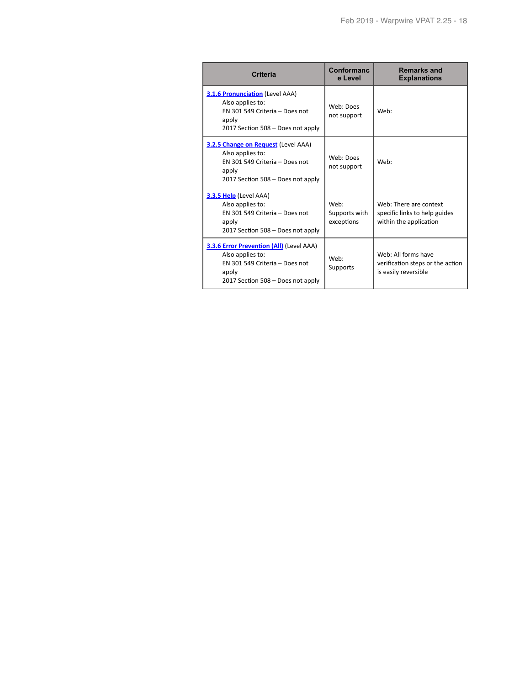| <b>Criteria</b>                                                                                                                              | Conformanc<br>e Level               | <b>Remarks and</b><br><b>Explanations</b>                                         |
|----------------------------------------------------------------------------------------------------------------------------------------------|-------------------------------------|-----------------------------------------------------------------------------------|
| <b>3.1.6 Pronunciation (Level AAA)</b><br>Also applies to:<br>EN 301 549 Criteria - Does not<br>apply<br>2017 Section 508 – Does not apply   | Web: Does<br>not support            | Web:                                                                              |
| 3.2.5 Change on Request (Level AAA)<br>Also applies to:<br>EN 301 549 Criteria - Does not<br>apply<br>2017 Section 508 - Does not apply      | Web: Does<br>not support            | Web:                                                                              |
| <b>3.3.5 Help</b> (Level AAA)<br>Also applies to:<br>EN 301 549 Criteria - Does not<br>apply<br>2017 Section 508 - Does not apply            | Web:<br>Supports with<br>exceptions | Web: There are context<br>specific links to help guides<br>within the application |
| 3.3.6 Error Prevention (All) (Level AAA)<br>Also applies to:<br>EN 301 549 Criteria - Does not<br>apply<br>2017 Section 508 – Does not apply | Web:<br>Supports                    | Web: All forms have<br>verification steps or the action<br>is easily reversible   |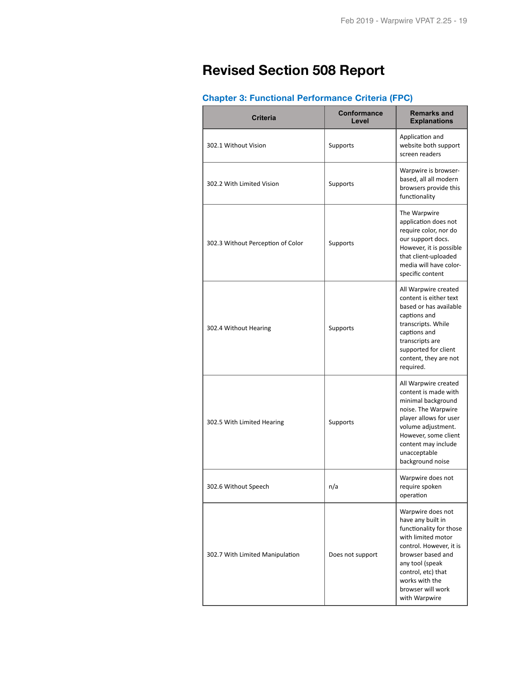# **Revised Section 508 Report**

# **Chapter 3: Functional Performance Criteria (FPC)**

| <b>Criteria</b>                   | <b>Conformance</b><br>Level | <b>Remarks and</b><br><b>Explanations</b>                                                                                                                                                                                                |
|-----------------------------------|-----------------------------|------------------------------------------------------------------------------------------------------------------------------------------------------------------------------------------------------------------------------------------|
| 302.1 Without Vision              | Supports                    | Application and<br>website both support<br>screen readers                                                                                                                                                                                |
| 302.2 With Limited Vision         | Supports                    | Warpwire is browser-<br>based, all all modern<br>browsers provide this<br>functionality                                                                                                                                                  |
| 302.3 Without Perception of Color | Supports                    | The Warpwire<br>application does not<br>require color, nor do<br>our support docs.<br>However, it is possible<br>that client-uploaded<br>media will have color-<br>specific content                                                      |
| 302.4 Without Hearing             | Supports                    | All Warpwire created<br>content is either text<br>based or has available<br>captions and<br>transcripts. While<br>captions and<br>transcripts are<br>supported for client<br>content, they are not<br>required.                          |
| 302.5 With Limited Hearing        | Supports                    | All Warpwire created<br>content is made with<br>minimal background<br>noise. The Warpwire<br>player allows for user<br>volume adjustment.<br>However, some client<br>content may include<br>unacceptable<br>background noise             |
| 302.6 Without Speech              | n/a                         | Warpwire does not<br>require spoken<br>operation                                                                                                                                                                                         |
| 302.7 With Limited Manipulation   | Does not support            | Warpwire does not<br>have any built in<br>functionality for those<br>with limited motor<br>control. However, it is<br>browser based and<br>any tool (speak<br>control, etc) that<br>works with the<br>browser will work<br>with Warpwire |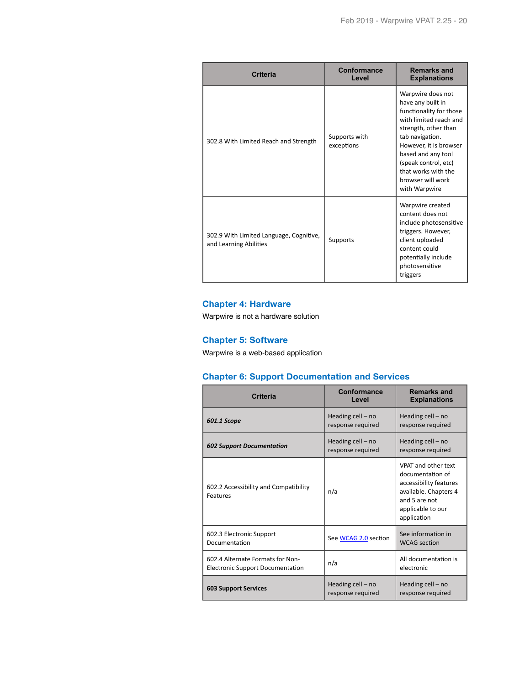| <b>Criteria</b>                                                   | Conformance<br>Level        | <b>Remarks and</b><br><b>Explanations</b>                                                                                                                                                                                                                                   |
|-------------------------------------------------------------------|-----------------------------|-----------------------------------------------------------------------------------------------------------------------------------------------------------------------------------------------------------------------------------------------------------------------------|
| 302.8 With Limited Reach and Strength                             | Supports with<br>exceptions | Warpwire does not<br>have any built in<br>functionality for those<br>with limited reach and<br>strength, other than<br>tab navigation.<br>However, it is browser<br>based and any tool<br>(speak control, etc)<br>that works with the<br>browser will work<br>with Warpwire |
| 302.9 With Limited Language, Cognitive,<br>and Learning Abilities | Supports                    | Warpwire created<br>content does not<br>include photosensitive<br>triggers. However,<br>client uploaded<br>content could<br>potentially include<br>photosensitive<br>triggers                                                                                               |

#### **Chapter 4: Hardware**

Warpwire is not a hardware solution

#### **Chapter 5: Software**

Warpwire is a web-based application

#### **Chapter 6: Support Documentation and Services**

| Criteria                                                                    | Conformance<br>Level                   | <b>Remarks and</b><br><b>Explanations</b>                                                                                                       |
|-----------------------------------------------------------------------------|----------------------------------------|-------------------------------------------------------------------------------------------------------------------------------------------------|
| 601.1 Scope                                                                 | Heading cell – no<br>response required | Heading $cell - no$<br>response required                                                                                                        |
| <b>602 Support Documentation</b>                                            | Heading cell – no<br>response required | Heading cell - no<br>response required                                                                                                          |
| 602.2 Accessibility and Compatibility<br>Features                           | n/a                                    | VPAT and other text<br>documentation of<br>accessibility features<br>available. Chapters 4<br>and 5 are not<br>applicable to our<br>application |
| 602.3 Electronic Support<br>Documentation                                   | See WCAG 2.0 section                   | See information in<br><b>WCAG</b> section                                                                                                       |
| 602.4 Alternate Formats for Non-<br><b>Electronic Support Documentation</b> | n/a                                    | All documentation is<br>electronic                                                                                                              |
| <b>603 Support Services</b>                                                 | Heading cell - no<br>response required | Heading cell - no<br>response required                                                                                                          |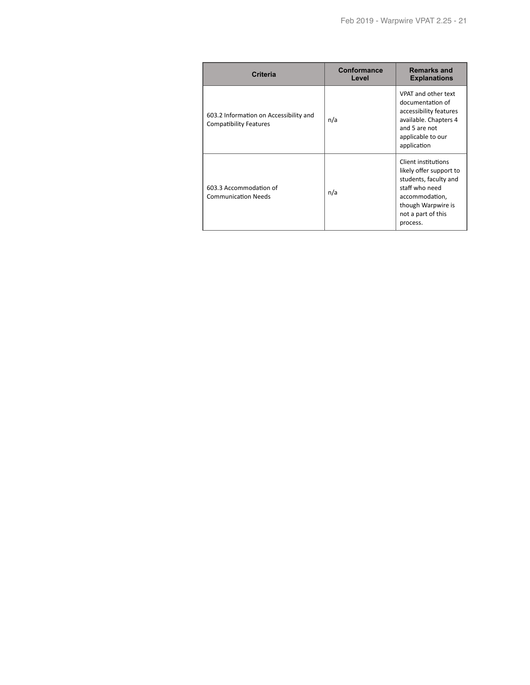| <b>Criteria</b>                                                         | Conformance<br>Level | <b>Remarks and</b><br><b>Explanations</b>                                                                                                                           |
|-------------------------------------------------------------------------|----------------------|---------------------------------------------------------------------------------------------------------------------------------------------------------------------|
| 603.2 Information on Accessibility and<br><b>Compatibility Features</b> | n/a                  | VPAT and other text<br>documentation of<br>accessibility features<br>available. Chapters 4<br>and 5 are not<br>applicable to our<br>application                     |
| 603.3 Accommodation of<br><b>Communication Needs</b>                    | n/a                  | Client institutions<br>likely offer support to<br>students, faculty and<br>staff who need<br>accommodation,<br>though Warpwire is<br>not a part of this<br>process. |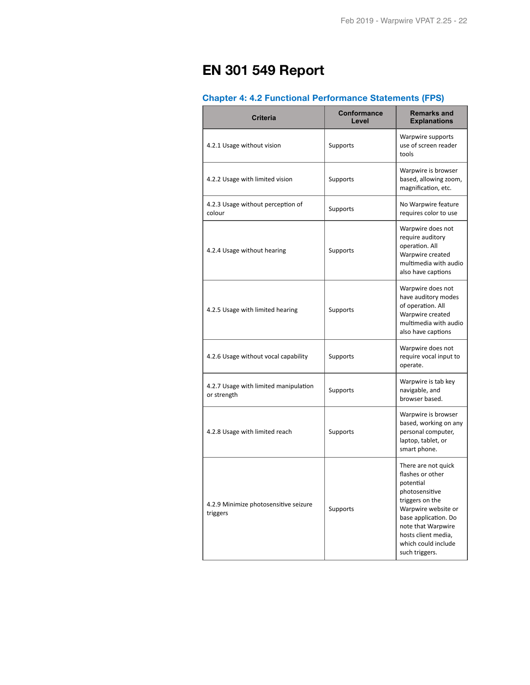# **EN 301 549 Report**

# **Chapter 4: 4.2 Functional Performance Statements (FPS)**

| <b>Criteria</b>                                      | <b>Conformance</b><br>Level | <b>Remarks and</b><br><b>Explanations</b>                                                                                                                                                                                      |
|------------------------------------------------------|-----------------------------|--------------------------------------------------------------------------------------------------------------------------------------------------------------------------------------------------------------------------------|
| 4.2.1 Usage without vision                           | Supports                    | Warpwire supports<br>use of screen reader<br>tools                                                                                                                                                                             |
| 4.2.2 Usage with limited vision                      | Supports                    | Warpwire is browser<br>based, allowing zoom,<br>magnification, etc.                                                                                                                                                            |
| 4.2.3 Usage without perception of<br>colour          | Supports                    | No Warpwire feature<br>requires color to use                                                                                                                                                                                   |
| 4.2.4 Usage without hearing                          | Supports                    | Warpwire does not<br>require auditory<br>operation. All<br>Warpwire created<br>multimedia with audio<br>also have captions                                                                                                     |
| 4.2.5 Usage with limited hearing                     | Supports                    | Warpwire does not<br>have auditory modes<br>of operation. All<br>Warpwire created<br>multimedia with audio<br>also have captions                                                                                               |
| 4.2.6 Usage without vocal capability                 | Supports                    | Warpwire does not<br>require vocal input to<br>operate.                                                                                                                                                                        |
| 4.2.7 Usage with limited manipulation<br>or strength | Supports                    | Warpwire is tab key<br>navigable, and<br>browser based.                                                                                                                                                                        |
| 4.2.8 Usage with limited reach                       | Supports                    | Warpwire is browser<br>based, working on any<br>personal computer,<br>laptop, tablet, or<br>smart phone.                                                                                                                       |
| 4.2.9 Minimize photosensitive seizure<br>triggers    | Supports                    | There are not quick<br>flashes or other<br>potential<br>photosensitive<br>triggers on the<br>Warpwire website or<br>base application. Do<br>note that Warpwire<br>hosts client media,<br>which could include<br>such triggers. |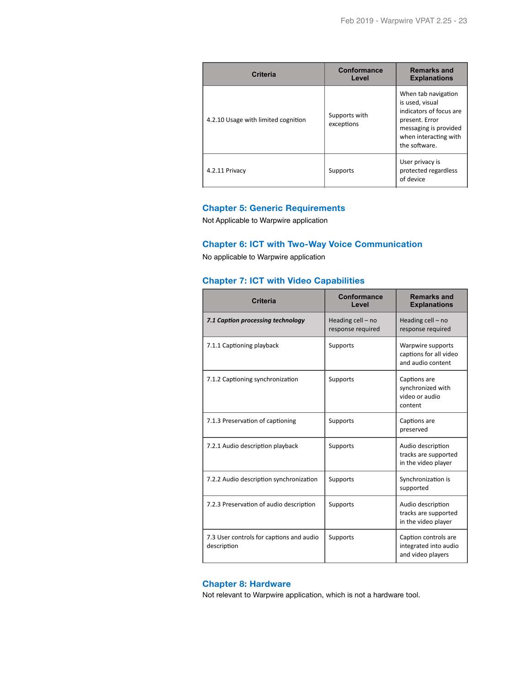| <b>Criteria</b>                     | <b>Conformance</b><br>Level | <b>Remarks and</b><br><b>Explanations</b>                                                                                                              |
|-------------------------------------|-----------------------------|--------------------------------------------------------------------------------------------------------------------------------------------------------|
| 4.2.10 Usage with limited cognition | Supports with<br>exceptions | When tab navigation<br>is used, visual<br>indicators of focus are<br>present. Error<br>messaging is provided<br>when interacting with<br>the software. |
| 4.2.11 Privacy                      | Supports                    | User privacy is<br>protected regardless<br>of device                                                                                                   |

## **Chapter 5: Generic Requirements**

Not Applicable to Warpwire application

#### **Chapter 6: ICT with Two-Way Voice Communication**

No applicable to Warpwire application

#### **Chapter 7: ICT with Video Capabilities**

| <b>Criteria</b>                                         | Conformance<br>Level                   | <b>Remarks and</b><br><b>Explanations</b>                          |
|---------------------------------------------------------|----------------------------------------|--------------------------------------------------------------------|
| 7.1 Caption processing technology                       | Heading cell - no<br>response required | Heading cell - no<br>response required                             |
| 7.1.1 Captioning playback                               | Supports                               | Warpwire supports<br>captions for all video<br>and audio content   |
| 7.1.2 Captioning synchronization                        | Supports                               | Captions are<br>synchronized with<br>video or audio<br>content     |
| 7.1.3 Preservation of captioning                        | Supports                               | Captions are<br>preserved                                          |
| 7.2.1 Audio description playback                        | Supports                               | Audio description<br>tracks are supported<br>in the video player   |
| 7.2.2 Audio description synchronization                 | Supports                               | Synchronization is<br>supported                                    |
| 7.2.3 Preservation of audio description                 | Supports                               | Audio description<br>tracks are supported<br>in the video player   |
| 7.3 User controls for captions and audio<br>description | Supports                               | Caption controls are<br>integrated into audio<br>and video players |

#### **Chapter 8: Hardware**

Not relevant to Warpwire application, which is not a hardware tool.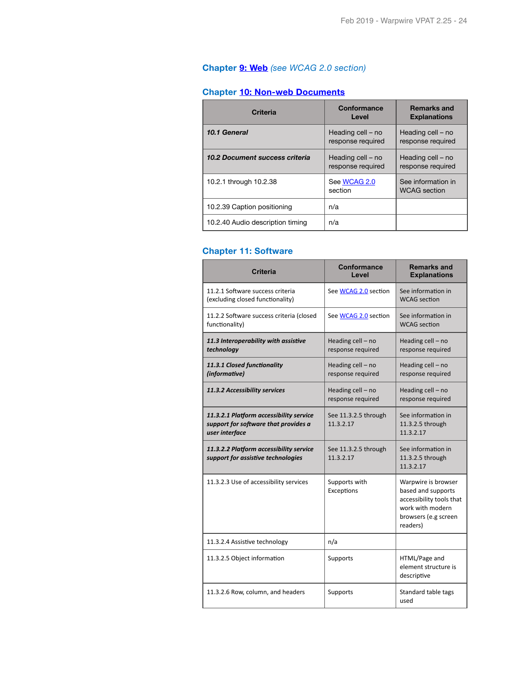# **Chapter [9: Web](http://www.etsi.org/deliver/etsi_en/301500_301599/301549/01.01.02_60/en_301549v010102p.pdf#page=39)** *(see WCAG 2.0 section)*

# **Chapter [10: Non-web Documents](http://www.etsi.org/deliver/etsi_en/301500_301599/301549/01.01.02_60/en_301549v010102p.pdf#page=43)**

| <b>Criteria</b>                  | Conformance<br>Level                   | <b>Remarks and</b><br><b>Explanations</b> |
|----------------------------------|----------------------------------------|-------------------------------------------|
| 10.1 General                     | Heading cell - no<br>response required | Heading cell - no<br>response required    |
| 10.2 Document success criteria   | Heading cell – no<br>response required | Heading cell - no<br>response required    |
| 10.2.1 through 10.2.38           | See WCAG 2.0<br>section                | See information in<br><b>WCAG</b> section |
| 10.2.39 Caption positioning      | n/a                                    |                                           |
| 10.2.40 Audio description timing | n/a                                    |                                           |

## **Chapter 11: Software**

| <b>Criteria</b>                                                                                   | <b>Conformance</b><br>Level            | <b>Remarks and</b><br><b>Explanations</b>                                                                                     |
|---------------------------------------------------------------------------------------------------|----------------------------------------|-------------------------------------------------------------------------------------------------------------------------------|
| 11.2.1 Software success criteria<br>(excluding closed functionality)                              | See WCAG 2.0 section                   | See information in<br><b>WCAG</b> section                                                                                     |
| 11.2.2 Software success criteria (closed<br>functionality)                                        | See WCAG 2.0 section                   | See information in<br><b>WCAG</b> section                                                                                     |
| 11.3 Interoperability with assistive<br>technology                                                | Heading cell - no<br>response required | Heading cell - no<br>response required                                                                                        |
| 11.3.1 Closed functionality<br>(informative)                                                      | Heading cell - no<br>response required | Heading cell - no<br>response required                                                                                        |
| 11.3.2 Accessibility services                                                                     | Heading cell - no<br>response required | Heading cell - no<br>response required                                                                                        |
| 11.3.2.1 Platform accessibility service<br>support for software that provides a<br>user interface | See 11.3.2.5 through<br>11.3.2.17      | See information in<br>11.3.2.5 through<br>11.3.2.17                                                                           |
| 11.3.2.2 Platform accessibility service<br>support for assistive technologies                     | See 11.3.2.5 through<br>11.3.2.17      | See information in<br>11.3.2.5 through<br>11.3.2.17                                                                           |
| 11.3.2.3 Use of accessibility services                                                            | Supports with<br>Exceptions            | Warpwire is browser<br>based and supports<br>accessibility tools that<br>work with modern<br>browsers (e.g screen<br>readers) |
| 11.3.2.4 Assistive technology                                                                     | n/a                                    |                                                                                                                               |
| 11.3.2.5 Object information                                                                       | Supports                               | HTML/Page and<br>element structure is<br>descriptive                                                                          |
| 11.3.2.6 Row, column, and headers                                                                 | Supports                               | Standard table tags<br>used                                                                                                   |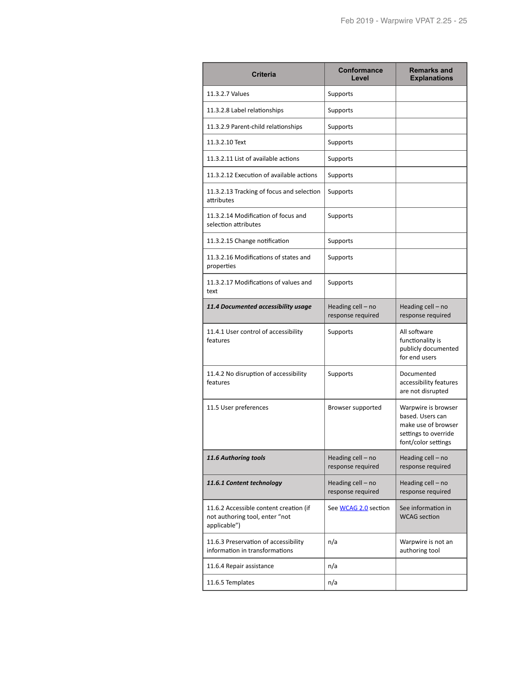| <b>Criteria</b>                                                                          | <b>Conformance</b><br>Level            | <b>Remarks and</b><br><b>Explanations</b>                                                                     |
|------------------------------------------------------------------------------------------|----------------------------------------|---------------------------------------------------------------------------------------------------------------|
| 11.3.2.7 Values                                                                          | Supports                               |                                                                                                               |
| 11.3.2.8 Label relationships                                                             | Supports                               |                                                                                                               |
| 11.3.2.9 Parent-child relationships                                                      | Supports                               |                                                                                                               |
| 11.3.2.10 Text                                                                           | Supports                               |                                                                                                               |
| 11.3.2.11 List of available actions                                                      | Supports                               |                                                                                                               |
| 11.3.2.12 Execution of available actions                                                 | Supports                               |                                                                                                               |
| 11.3.2.13 Tracking of focus and selection<br>attributes                                  | Supports                               |                                                                                                               |
| 11.3.2.14 Modification of focus and<br>selection attributes                              | Supports                               |                                                                                                               |
| 11.3.2.15 Change notification                                                            | Supports                               |                                                                                                               |
| 11.3.2.16 Modifications of states and<br>properties                                      | Supports                               |                                                                                                               |
| 11.3.2.17 Modifications of values and<br>text                                            | Supports                               |                                                                                                               |
| 11.4 Documented accessibility usage                                                      | Heading cell - no<br>response required | Heading cell - no<br>response required                                                                        |
| 11.4.1 User control of accessibility<br>features                                         | Supports                               | All software<br>functionality is<br>publicly documented<br>for end users                                      |
| 11.4.2 No disruption of accessibility<br>features                                        | Supports                               | Documented<br>accessibility features<br>are not disrupted                                                     |
| 11.5 User preferences                                                                    | Browser supported                      | Warpwire is browser<br>based. Users can<br>make use of browser<br>settings to override<br>font/color settings |
| 11.6 Authoring tools                                                                     | Heading cell - no<br>response required | Heading cell - no<br>response required                                                                        |
| 11.6.1 Content technology                                                                | Heading cell - no<br>response required | Heading cell - no<br>response required                                                                        |
| 11.6.2 Accessible content creation (if<br>not authoring tool, enter "not<br>applicable") | See WCAG 2.0 section                   | See information in<br><b>WCAG</b> section                                                                     |
| 11.6.3 Preservation of accessibility<br>information in transformations                   | n/a                                    | Warpwire is not an<br>authoring tool                                                                          |
| 11.6.4 Repair assistance                                                                 | n/a                                    |                                                                                                               |
| 11.6.5 Templates                                                                         | n/a                                    |                                                                                                               |